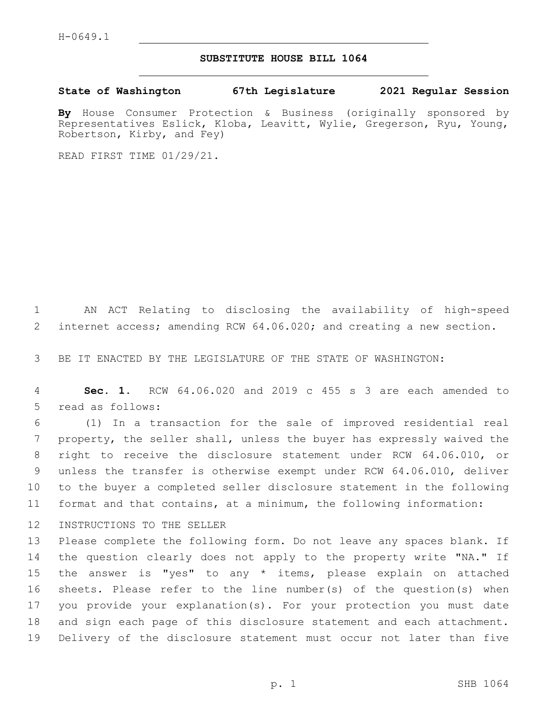## **SUBSTITUTE HOUSE BILL 1064**

**State of Washington 67th Legislature 2021 Regular Session**

**By** House Consumer Protection & Business (originally sponsored by Representatives Eslick, Kloba, Leavitt, Wylie, Gregerson, Ryu, Young, Robertson, Kirby, and Fey)

READ FIRST TIME 01/29/21.

1 AN ACT Relating to disclosing the availability of high-speed 2 internet access; amending RCW 64.06.020; and creating a new section.

3 BE IT ENACTED BY THE LEGISLATURE OF THE STATE OF WASHINGTON:

4 **Sec. 1.** RCW 64.06.020 and 2019 c 455 s 3 are each amended to 5 read as follows:

 (1) In a transaction for the sale of improved residential real property, the seller shall, unless the buyer has expressly waived the right to receive the disclosure statement under RCW 64.06.010, or unless the transfer is otherwise exempt under RCW 64.06.010, deliver to the buyer a completed seller disclosure statement in the following format and that contains, at a minimum, the following information:

12 INSTRUCTIONS TO THE SELLER

 Please complete the following form. Do not leave any spaces blank. If 14 the question clearly does not apply to the property write "NA." If the answer is "yes" to any \* items, please explain on attached sheets. Please refer to the line number(s) of the question(s) when you provide your explanation(s). For your protection you must date and sign each page of this disclosure statement and each attachment. Delivery of the disclosure statement must occur not later than five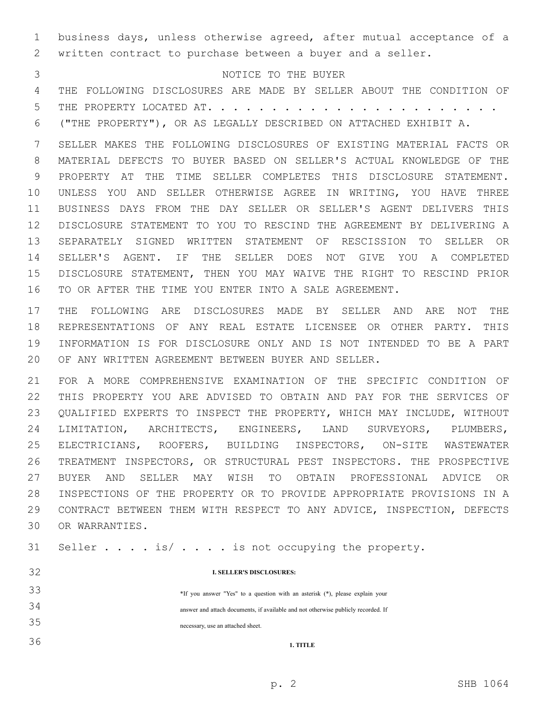business days, unless otherwise agreed, after mutual acceptance of a written contract to purchase between a buyer and a seller.

3 NOTICE TO THE BUYER THE FOLLOWING DISCLOSURES ARE MADE BY SELLER ABOUT THE CONDITION OF THE PROPERTY LOCATED AT. . . . . . . . . . . . . . . . . . . . . . . ("THE PROPERTY"), OR AS LEGALLY DESCRIBED ON ATTACHED EXHIBIT A.

 SELLER MAKES THE FOLLOWING DISCLOSURES OF EXISTING MATERIAL FACTS OR MATERIAL DEFECTS TO BUYER BASED ON SELLER'S ACTUAL KNOWLEDGE OF THE PROPERTY AT THE TIME SELLER COMPLETES THIS DISCLOSURE STATEMENT. UNLESS YOU AND SELLER OTHERWISE AGREE IN WRITING, YOU HAVE THREE BUSINESS DAYS FROM THE DAY SELLER OR SELLER'S AGENT DELIVERS THIS DISCLOSURE STATEMENT TO YOU TO RESCIND THE AGREEMENT BY DELIVERING A SEPARATELY SIGNED WRITTEN STATEMENT OF RESCISSION TO SELLER OR SELLER'S AGENT. IF THE SELLER DOES NOT GIVE YOU A COMPLETED DISCLOSURE STATEMENT, THEN YOU MAY WAIVE THE RIGHT TO RESCIND PRIOR TO OR AFTER THE TIME YOU ENTER INTO A SALE AGREEMENT.

 THE FOLLOWING ARE DISCLOSURES MADE BY SELLER AND ARE NOT THE REPRESENTATIONS OF ANY REAL ESTATE LICENSEE OR OTHER PARTY. THIS INFORMATION IS FOR DISCLOSURE ONLY AND IS NOT INTENDED TO BE A PART OF ANY WRITTEN AGREEMENT BETWEEN BUYER AND SELLER.

 FOR A MORE COMPREHENSIVE EXAMINATION OF THE SPECIFIC CONDITION OF THIS PROPERTY YOU ARE ADVISED TO OBTAIN AND PAY FOR THE SERVICES OF QUALIFIED EXPERTS TO INSPECT THE PROPERTY, WHICH MAY INCLUDE, WITHOUT LIMITATION, ARCHITECTS, ENGINEERS, LAND SURVEYORS, PLUMBERS, ELECTRICIANS, ROOFERS, BUILDING INSPECTORS, ON-SITE WASTEWATER TREATMENT INSPECTORS, OR STRUCTURAL PEST INSPECTORS. THE PROSPECTIVE BUYER AND SELLER MAY WISH TO OBTAIN PROFESSIONAL ADVICE OR INSPECTIONS OF THE PROPERTY OR TO PROVIDE APPROPRIATE PROVISIONS IN A CONTRACT BETWEEN THEM WITH RESPECT TO ANY ADVICE, INSPECTION, DEFECTS 30 OR WARRANTIES.

31 Seller . . . . is/ . . . . is not occupying the property.

| 32 | <b>I. SELLER'S DISCLOSURES:</b>                                                   |
|----|-----------------------------------------------------------------------------------|
| 33 | *If you answer "Yes" to a question with an asterisk (*), please explain your      |
| 34 | answer and attach documents, if available and not otherwise publicly recorded. If |
| 35 | necessary, use an attached sheet.                                                 |
| 36 | I. TITLE                                                                          |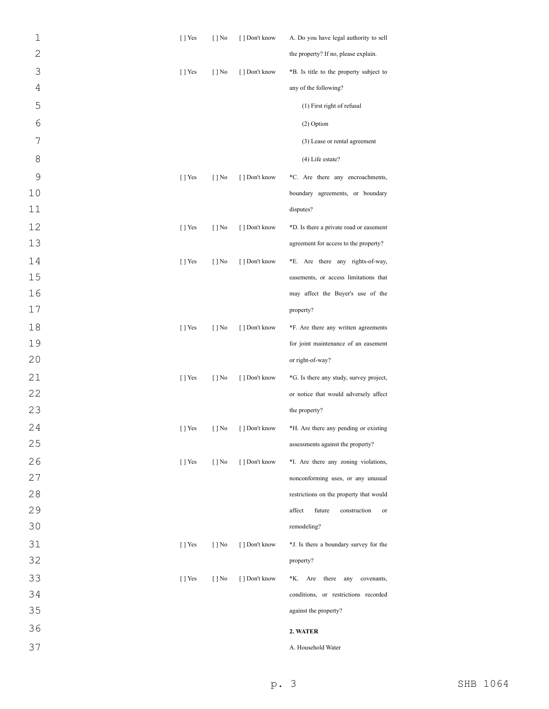| $\mathbf 1$   | [] Yes         | $[ ]$ No                 | [ ] Don't know | A. Do you have legal authority to sell  |
|---------------|----------------|--------------------------|----------------|-----------------------------------------|
| $\mathbf{2}$  |                |                          |                | the property? If no, please explain.    |
| 3             | $[$ T Yes      | $[ ]$ No                 | [ ] Don't know | *B. Is title to the property subject to |
| $\sqrt{4}$    |                |                          |                | any of the following?                   |
| 5             |                |                          |                | (1) First right of refusal              |
| 6             |                |                          |                | (2) Option                              |
| 7             |                |                          |                | (3) Lease or rental agreement           |
| 8             |                |                          |                | $(4)$ Life estate?                      |
| $\mathcal{G}$ | [] Yes         | $[ ]$ No                 | [ ] Don't know | *C. Are there any encroachments,        |
| 10            |                |                          |                | boundary agreements, or boundary        |
| 11            |                |                          |                | disputes?                               |
| 12            | $[$ T Yes      | $[$   No                 | [ ] Don't know | *D. Is there a private road or easement |
| 13            |                |                          |                | agreement for access to the property?   |
| 14            | $[ ]$ Yes      | $[$   No                 | [ ] Don't know | *E. Are there any rights-of-way,        |
| 15            |                |                          |                | easements, or access limitations that   |
| 16            |                |                          |                | may affect the Buyer's use of the       |
| 17            |                |                          |                | property?                               |
| 18            | [] Yes         | $[ ]$ No                 | [ ] Don't know | *F. Are there any written agreements    |
| 19            |                |                          |                | for joint maintenance of an easement    |
| 20            |                |                          |                | or right-of-way?                        |
| 21            | $[$ T Yes      | $[$ ] No                 | [ ] Don't know | *G. Is there any study, survey project, |
| 22            |                |                          |                | or notice that would adversely affect   |
| 23            |                |                          |                | the property?                           |
| 24            | [] Yes         | $[ ]$ No                 | [ ] Don't know | *H. Are there any pending or existing   |
| 25            |                |                          |                | assessments against the property?       |
| 26            | $\lceil$   Yes | $\lceil \cdot \rceil$ No | [ ] Don't know | *I. Are there any zoning violations,    |
| 27            |                |                          |                | nonconforming uses, or any unusual      |
| 28            |                |                          |                | restrictions on the property that would |
| 29            |                |                          |                | affect<br>future<br>construction<br>or  |
| 30            |                |                          |                | remodeling?                             |
| 31            | $[$ T Yes      | $\lceil \cdot \rceil$ No | [] Don't know  | *J. Is there a boundary survey for the  |
| 32            |                |                          |                | property?                               |
| 33            | $\lceil$   Yes | $\lceil \cdot \rceil$ No | [ ] Don't know | *K. Are<br>there<br>any<br>covenants,   |
| 34            |                |                          |                | conditions, or restrictions recorded    |
| 35            |                |                          |                | against the property?                   |
| 36            |                |                          |                | 2. WATER                                |
| 37            |                |                          |                | A. Household Water                      |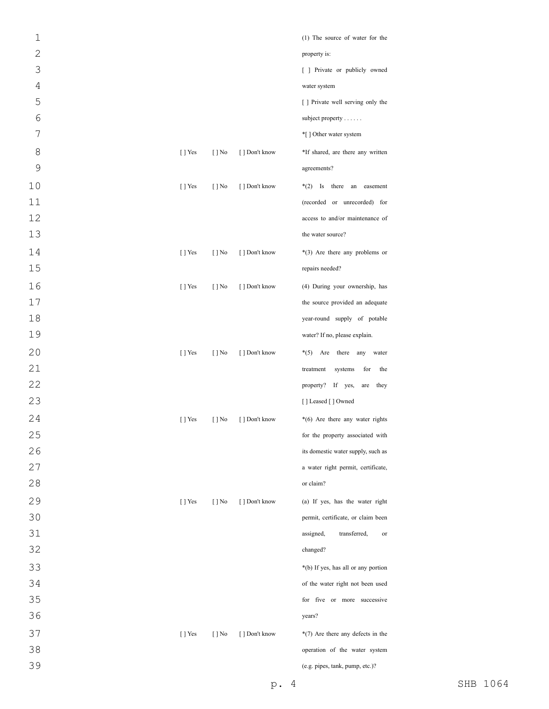| $1\,$          |                |                          |                | (1) The source of water for the        |
|----------------|----------------|--------------------------|----------------|----------------------------------------|
| $\overline{c}$ |                |                          |                | property is:                           |
| 3              |                |                          |                | [ ] Private or publicly owned          |
| $\overline{4}$ |                |                          |                | water system                           |
| 5              |                |                          |                | [ ] Private well serving only the      |
| $\overline{6}$ |                |                          |                | subject property                       |
| 7              |                |                          |                | *[] Other water system                 |
| 8              | [] Yes         | $[ ]$ No                 | [ ] Don't know | *If shared, are there any written      |
| $\mathcal{G}$  |                |                          |                | agreements?                            |
| 10             | $[$ T Yes      | $[$ ] No                 | [ ] Don't know | Is<br>$*(2)$<br>there an<br>easement   |
| 11             |                |                          |                | (recorded or unrecorded) for           |
| 12             |                |                          |                | access to and/or maintenance of        |
| 13             |                |                          |                | the water source?                      |
| 14             | $[$ T Yes      | $[$ ] No                 | [ ] Don't know | *(3) Are there any problems or         |
| 15             |                |                          |                | repairs needed?                        |
| 16             | $\lceil$   Yes | $[$ ] No                 | [ ] Don't know | (4) During your ownership, has         |
| 17             |                |                          |                | the source provided an adequate        |
| 18             |                |                          |                | year-round supply of potable           |
| 19             |                |                          |                | water? If no, please explain.          |
| 20             | $[$ T Yes      | $\lceil \cdot \rceil$ No | [ ] Don't know | Are<br>there<br>$*(5)$<br>any<br>water |
| 21             |                |                          |                | treatment<br>systems<br>for<br>the     |
| 22             |                |                          |                | property?<br>If yes,<br>they<br>are    |
| 23             |                |                          |                | [] Leased [] Owned                     |
| 24             | $[$ T Yes      | $[ ]$ No                 | [ ] Don't know | *(6) Are there any water rights        |
| 25             |                |                          |                | for the property associated with       |
| 26             |                |                          |                | its domestic water supply, such as     |
| 27             |                |                          |                | a water right permit, certificate,     |
| 28             |                |                          |                | or claim?                              |
| 29             | $[$ T Yes      | $[$   No                 | [ ] Don't know | (a) If yes, has the water right        |
| 30             |                |                          |                | permit, certificate, or claim been     |
| 31             |                |                          |                | transferred,<br>assigned,<br>or        |
| 32             |                |                          |                | changed?                               |
| 33             |                |                          |                | *(b) If yes, has all or any portion    |
| 34             |                |                          |                | of the water right not been used       |
| 35             |                |                          |                | for five or more successive            |
| 36             |                |                          |                | years?                                 |
| 37             | $[$ T Yes      | $[ ]$ No                 | [ ] Don't know | $*(7)$ Are there any defects in the    |
| 38             |                |                          |                | operation of the water system          |
| 39             |                |                          |                | (e.g. pipes, tank, pump, etc.)?        |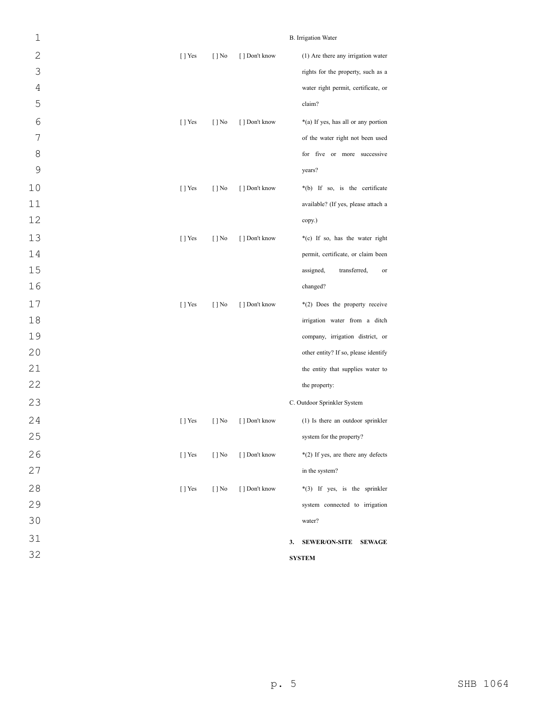| $1\,$          |           |                          |                | <b>B.</b> Irrigation Water                  |
|----------------|-----------|--------------------------|----------------|---------------------------------------------|
| $\overline{c}$ | $[$ ] Yes | $[ ]$ No                 | [] Don't know  | (1) Are there any irrigation water          |
| 3              |           |                          |                | rights for the property, such as a          |
| $\overline{4}$ |           |                          |                | water right permit, certificate, or         |
| 5              |           |                          |                | claim?                                      |
| 6              | $[$ ] Yes | $[$   No                 | [ ] Don't know | *(a) If yes, has all or any portion         |
| 7              |           |                          |                | of the water right not been used            |
| 8              |           |                          |                | for five or more successive                 |
| 9              |           |                          |                | years?                                      |
| 10             | $[$ ] Yes | $[ ]$ No                 | [] Don't know  | *(b) If so, is the certificate              |
| 11             |           |                          |                | available? (If yes, please attach a         |
| 12             |           |                          |                | copy.)                                      |
| 13             | $[$ ] Yes | $[ ]$ No                 | [ ] Don't know | *(c) If so, has the water right             |
| 14             |           |                          |                | permit, certificate, or claim been          |
| 15             |           |                          |                | assigned,<br>transferred,<br>or             |
| 16             |           |                          |                | changed?                                    |
| 17             | $[$ ] Yes | $\lceil \cdot \rceil$ No | [ ] Don't know | *(2) Does the property receive              |
| 18             |           |                          |                | irrigation water from a ditch               |
| 19             |           |                          |                | company, irrigation district, or            |
| 20             |           |                          |                | other entity? If so, please identify        |
| 21             |           |                          |                | the entity that supplies water to           |
| 22             |           |                          |                | the property:                               |
| 23             |           |                          |                | C. Outdoor Sprinkler System                 |
| 24             | $[$ T Yes | $[ ]$ No                 | [] Don't know  | (1) Is there an outdoor sprinkler           |
| 25             |           |                          |                | system for the property?                    |
| 26             | [] Yes    | $[ ]$ No                 | [ ] Don't know | $*(2)$ If yes, are there any defects        |
| 27             |           |                          |                | in the system?                              |
| 28             | [] Yes    | $[$   No                 | [] Don't know  | $*(3)$ If yes, is the sprinkler             |
| 29             |           |                          |                | system connected to irrigation              |
| 30             |           |                          |                | water?                                      |
| 31             |           |                          |                | <b>SEWER/ON-SITE</b><br><b>SEWAGE</b><br>3. |
| 32             |           |                          |                | <b>SYSTEM</b>                               |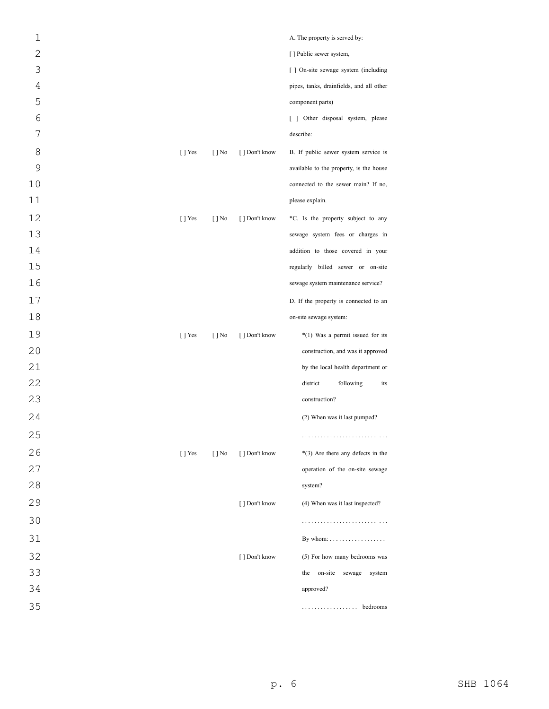| 1              |         |                          |                | A. The property is served by:            |
|----------------|---------|--------------------------|----------------|------------------------------------------|
| $\overline{2}$ |         |                          |                | [] Public sewer system,                  |
| 3              |         |                          |                | [ ] On-site sewage system (including     |
| $\overline{4}$ |         |                          |                | pipes, tanks, drainfields, and all other |
| 5              |         |                          |                | component parts)                         |
| 6              |         |                          |                | [ ] Other disposal system, please        |
| 7              |         |                          |                | describe:                                |
| 8              | [] Yes  | $\lceil \cdot \rceil$ No | [ ] Don't know | B. If public sewer system service is     |
| 9              |         |                          |                | available to the property, is the house  |
| 10             |         |                          |                | connected to the sewer main? If no,      |
| 11             |         |                          |                | please explain.                          |
| 12             | [] Yes  | $\lceil \cdot \rceil$ No | [ ] Don't know | *C. Is the property subject to any       |
| 13             |         |                          |                | sewage system fees or charges in         |
| 14             |         |                          |                | addition to those covered in your        |
| 15             |         |                          |                | regularly billed sewer or on-site        |
| 16             |         |                          |                | sewage system maintenance service?       |
| 17             |         |                          |                | D. If the property is connected to an    |
| 18             |         |                          |                | on-site sewage system:                   |
| 19             | [] Yes  | $\lceil \cdot \rceil$ No | [ ] Don't know | *(1) Was a permit issued for its         |
| 20             |         |                          |                | construction, and was it approved        |
| 21             |         |                          |                | by the local health department or        |
| 22             |         |                          |                | district<br>following<br>its             |
| 23             |         |                          |                | construction?                            |
| 24             |         |                          |                | (2) When was it last pumped?             |
| 25             |         |                          |                |                                          |
| 26             | [ ] Yes | $\lceil \cdot \rceil$ No | [] Don't know  | $*(3)$ Are there any defects in the      |
| 27             |         |                          |                | operation of the on-site sewage          |
| 28             |         |                          |                | system?                                  |
| 29             |         |                          | [ ] Don't know | (4) When was it last inspected?          |
| 30             |         |                          |                |                                          |
| 31             |         |                          |                | By whom:                                 |
| 32             |         |                          | [ ] Don't know | (5) For how many bedrooms was            |
| 33             |         |                          |                | on-site sewage<br>the<br>system          |
| 34             |         |                          |                | approved?                                |
| 35             |         |                          |                | bedrooms                                 |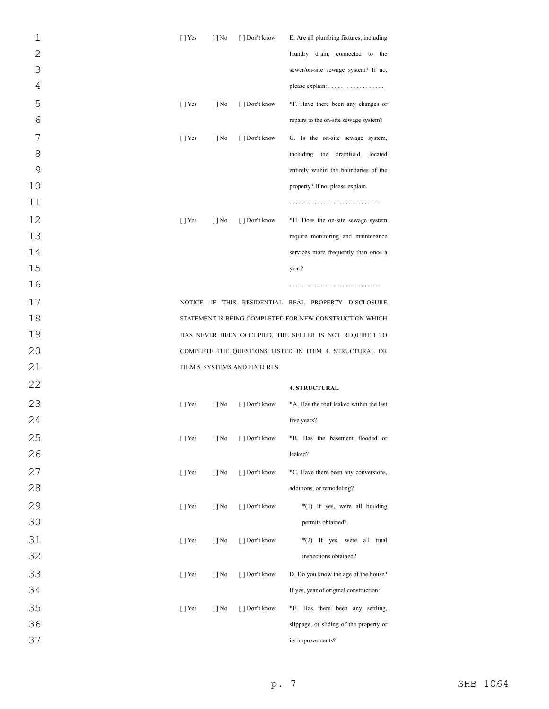| $\mathbf 1$    | $[ ]$ Yes | $\lceil \cdot \rceil$ No | [ ] Don't know               | E. Are all plumbing fixtures, including                 |
|----------------|-----------|--------------------------|------------------------------|---------------------------------------------------------|
| $\mathbf{2}$   |           |                          |                              | laundry drain, connected to the                         |
| 3              |           |                          |                              | sewer/on-site sewage system? If no,                     |
| $\overline{4}$ |           |                          |                              |                                                         |
| 5              | $[$ T Yes | $\lceil \cdot \rceil$ No | [ ] Don't know               | *F. Have there been any changes or                      |
| 6              |           |                          |                              | repairs to the on-site sewage system?                   |
| 7              | $[$ T Yes | $\lceil \cdot \rceil$ No | [ ] Don't know               | G. Is the on-site sewage system,                        |
| 8              |           |                          |                              | including the<br>drainfield,<br>located                 |
| 9              |           |                          |                              | entirely within the boundaries of the                   |
| 10             |           |                          |                              | property? If no, please explain.                        |
| 11             |           |                          |                              |                                                         |
| 12             | $[$ T Yes | $\lceil \cdot \rceil$ No | [] Don't know                | *H. Does the on-site sewage system                      |
| 13             |           |                          |                              | require monitoring and maintenance                      |
| 14             |           |                          |                              | services more frequently than once a                    |
| 15             |           |                          |                              | year?                                                   |
| 16             |           |                          |                              |                                                         |
| 17             |           |                          |                              | NOTICE: IF THIS RESIDENTIAL REAL PROPERTY DISCLOSURE    |
| 18             |           |                          |                              | STATEMENT IS BEING COMPLETED FOR NEW CONSTRUCTION WHICH |
| 19             |           |                          |                              | HAS NEVER BEEN OCCUPIED, THE SELLER IS NOT REQUIRED TO  |
|                |           |                          |                              |                                                         |
| 20             |           |                          |                              | COMPLETE THE QUESTIONS LISTED IN ITEM 4. STRUCTURAL OR  |
| 21             |           |                          | ITEM 5. SYSTEMS AND FIXTURES |                                                         |
| 22             |           |                          |                              | <b>4. STRUCTURAL</b>                                    |
| 23             | $[$ T Yes | $\lceil \cdot \rceil$ No | [ ] Don't know               | *A. Has the roof leaked within the last                 |
| 24             |           |                          |                              | five years?                                             |
| 25             | [ ] Yes   | $[ ]$ No                 | [ ] Don't know               | *B. Has the basement flooded or                         |
| 26             |           |                          |                              | leaked?                                                 |
| 27             | $[$ T Yes | $[ ]$ No                 | [ ] Don't know               | *C. Have there been any conversions,                    |
| 28             |           |                          |                              | additions, or remodeling?                               |
| 29             | $[ ]$ Yes | $[ ]$ No                 | [ ] Don't know               | *(1) If yes, were all building                          |
| 30             |           |                          |                              | permits obtained?                                       |
| 31             | $[$ T Yes | $[ ]$ No                 | [] Don't know                | *(2) If yes, were all final                             |
| 32             |           |                          |                              | inspections obtained?                                   |
| 33             | $[ ]$ Yes | $[ ]$ No                 | [ ] Don't know               | D. Do you know the age of the house?                    |
| 34             |           |                          |                              | If yes, year of original construction:                  |
| 35             | $[$ T Yes | $\lceil \cdot \rceil$ No | [ ] Don't know               | *E. Has there been any settling,                        |
| 36             |           |                          |                              | slippage, or sliding of the property or                 |
| 37             |           |                          |                              | its improvements?                                       |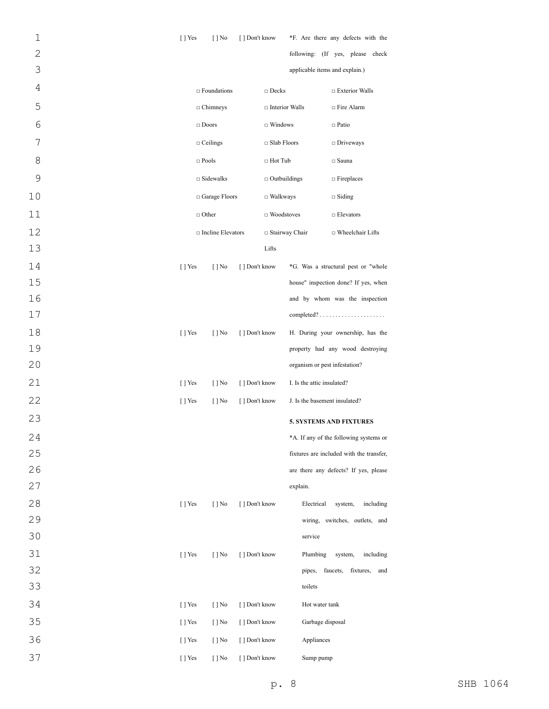| $\mathbf{1}$   | [] Yes    |                 | $\lceil \cdot \rceil$ No | [ ] Don't know |                       |                                | *F. Are there any defects with the       |  |
|----------------|-----------|-----------------|--------------------------|----------------|-----------------------|--------------------------------|------------------------------------------|--|
| $\overline{2}$ |           |                 |                          |                |                       |                                | following: (If yes, please check         |  |
| 3              |           |                 |                          |                |                       | applicable items and explain.) |                                          |  |
| 4              |           |                 | $\Box$ Foundations       |                | $\Box$ Decks          |                                | □ Exterior Walls                         |  |
| 5              |           |                 | $\Box$ Chimneys          |                | $\Box$ Interior Walls |                                | $\Box$ Fire Alarm                        |  |
| 6              |           | $\Box$ Doors    |                          |                | $\Box$ Windows        |                                | $\Box$ Patio                             |  |
| 7              |           | $\Box$ Ceilings |                          |                | $\Box$ Slab Floors    |                                | $\Box$ Driveways                         |  |
| 8              |           | $\Box$ Pools    |                          |                | $\Box$ Hot Tub        |                                | $\Box$ Sauna                             |  |
| 9              |           |                 | $\Box$ Sidewalks         |                | $\Box$ Outbuildings   |                                | $\Box$ Fireplaces                        |  |
| 10             |           |                 | □ Garage Floors          |                | $\Box$ Walkways       |                                | $\Box$ Siding                            |  |
| 11             |           | $\Box$ Other    |                          |                | $\Box$ Woodstoves     |                                | $\Box$ Elevators                         |  |
| 12             |           |                 | □ Incline Elevators      |                | □ Stairway Chair      |                                | $\Box$ Wheelchair Lifts                  |  |
| 13             |           |                 |                          |                | Lifts                 |                                |                                          |  |
| 14             | $[$ T Yes |                 | $[ ]$ No                 | [ ] Don't know |                       |                                | *G. Was a structural pest or "whole      |  |
| 15             |           |                 |                          |                |                       |                                | house" inspection done? If yes, when     |  |
| 16             |           |                 |                          |                |                       |                                | and by whom was the inspection           |  |
| 17             |           |                 |                          |                |                       |                                |                                          |  |
| 18             | $[$ T Yes |                 | $[ ]$ No                 | [ ] Don't know |                       |                                | H. During your ownership, has the        |  |
| 19             |           |                 |                          |                |                       |                                | property had any wood destroying         |  |
| 20             |           |                 |                          |                |                       | organism or pest infestation?  |                                          |  |
| 21             | $[$ T Yes |                 | $[$ No                   | [] Don't know  |                       | I. Is the attic insulated?     |                                          |  |
| 22             | $[$ T Yes |                 | $[ ]$ No                 | [ ] Don't know |                       | J. Is the basement insulated?  |                                          |  |
| 23             |           |                 |                          |                |                       |                                | <b>5. SYSTEMS AND FIXTURES</b>           |  |
| 24             |           |                 |                          |                |                       |                                | *A. If any of the following systems or   |  |
| 25             |           |                 |                          |                |                       |                                | fixtures are included with the transfer, |  |
| 26             |           |                 |                          |                |                       |                                | are there any defects? If yes, please    |  |
| 27             |           |                 |                          |                |                       | explain.                       |                                          |  |
| 28             | [] Yes    |                 | $[ ]$ No                 | [] Don't know  |                       | Electrical                     | system,<br>including                     |  |
| 29             |           |                 |                          |                |                       |                                | wiring, switches, outlets, and           |  |
| 30             |           |                 |                          |                |                       | service                        |                                          |  |
| 31             | [ ] Yes   |                 | $[$ ] No                 | [ ] Don't know |                       | Plumbing                       | system,<br>including                     |  |
| 32             |           |                 |                          |                |                       |                                | pipes, faucets, fixtures,<br>and         |  |
| 33             |           |                 |                          |                |                       | toilets                        |                                          |  |
| 34             | [] Yes    |                 | $[$ ] No                 | [ ] Don't know |                       | Hot water tank                 |                                          |  |
| 35             | $[ ]$ Yes |                 | $[$ ] No                 | [ ] Don't know |                       | Garbage disposal               |                                          |  |
| 36             | [] Yes    |                 | $[$ ] No                 | [ ] Don't know |                       | Appliances                     |                                          |  |
| 37             | [ ] Yes   |                 | $[$ ] No                 | [ ] Don't know |                       | Sump pump                      |                                          |  |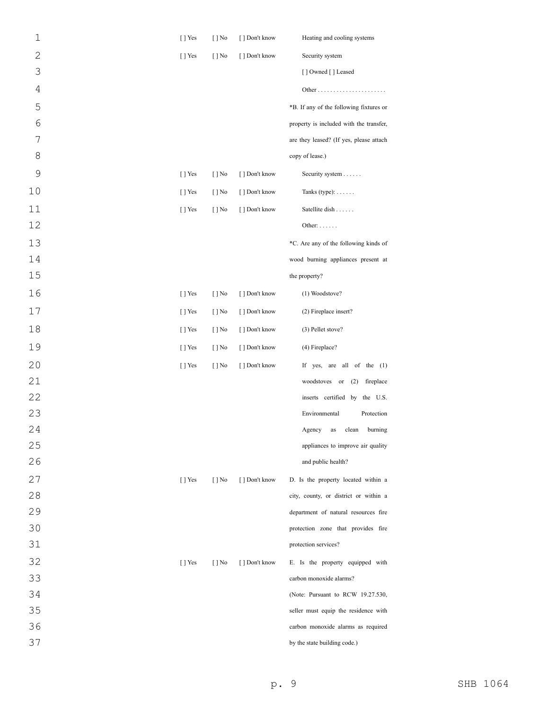| $\mathbf 1$  | $[ ]$ Yes | $[ ]$ No | [ ] Don't know | Heating and cooling systems             |
|--------------|-----------|----------|----------------|-----------------------------------------|
| $\mathbf{2}$ | $[ ]$ Yes | $[$ ] No | [] Don't know  | Security system                         |
| 3            |           |          |                | [] Owned [] Leased                      |
| 4            |           |          |                |                                         |
| 5            |           |          |                | *B. If any of the following fixtures or |
| 6            |           |          |                | property is included with the transfer, |
| 7            |           |          |                | are they leased? (If yes, please attach |
| 8            |           |          |                | copy of lease.)                         |
| 9            | $[ ]$ Yes | $[ ]$ No | [ ] Don't know | Security system                         |
| 10           | $[$ T Yes | $[$ ] No | [ ] Don't know | Tanks (type): $\dots$                   |
| 11           | $[$ ] Yes | $[ ]$ No | [] Don't know  | Satellite dish                          |
| 12           |           |          |                | Other: $\dots$                          |
| 13           |           |          |                | *C. Are any of the following kinds of   |
| 14           |           |          |                | wood burning appliances present at      |
| 15           |           |          |                | the property?                           |
| 16           | $[$ T Yes | $[ ]$ No | [ ] Don't know | (1) Woodstove?                          |
| 17           | $[$ T Yes | $[$ No   | [ ] Don't know | (2) Fireplace insert?                   |
| 18           | $[ ]$ Yes | $[ ]$ No | [ ] Don't know | (3) Pellet stove?                       |
| 19           | $[$ T Yes | $[$ ] No | [ ] Don't know | (4) Fireplace?                          |
| 20           | $[$ T Yes | $[$ ] No | [ ] Don't know | If yes, are all of the $(1)$            |
| 21           |           |          |                | woodstoves or<br>fireplace<br>(2)       |
| 22           |           |          |                | inserts certified by the U.S.           |
| 23           |           |          |                | Environmental<br>Protection             |
| 24           |           |          |                | Agency as clean burning                 |
| 25           |           |          |                | appliances to improve air quality       |
| 26           |           |          |                | and public health?                      |
| 27           | $[ ]$ Yes | $[$ ] No | [ ] Don't know | D. Is the property located within a     |
| 28           |           |          |                | city, county, or district or within a   |
| 29           |           |          |                | department of natural resources fire    |
| 30           |           |          |                | protection zone that provides fire      |
| 31           |           |          |                | protection services?                    |
| 32           | $[$ ] Yes | $[ ]$ No | [] Don't know  | E. Is the property equipped with        |
| 33           |           |          |                | carbon monoxide alarms?                 |
| 34           |           |          |                | (Note: Pursuant to RCW 19.27.530,       |
| 35           |           |          |                | seller must equip the residence with    |
| 36           |           |          |                | carbon monoxide alarms as required      |
| 37           |           |          |                | by the state building code.)            |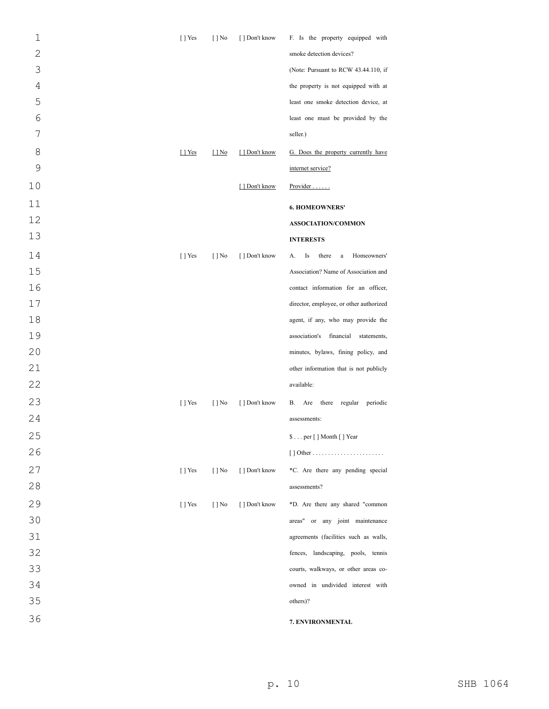| $\mathbf 1$    | $\lceil$   Yes | $\lceil \cdot \rceil$ No | [ ] Don't know | F. Is the property equipped with             |
|----------------|----------------|--------------------------|----------------|----------------------------------------------|
| $\overline{2}$ |                |                          |                | smoke detection devices?                     |
| 3              |                |                          |                | (Note: Pursuant to RCW 43.44.110, if         |
| $\overline{4}$ |                |                          |                | the property is not equipped with at         |
| 5              |                |                          |                | least one smoke detection device, at         |
| 6              |                |                          |                | least one must be provided by the            |
| 7              |                |                          |                | seller.)                                     |
| 8              | $\Box$ Yes     | $\Box$ No                | [] Don't know  | G. Does the property currently have          |
| 9              |                |                          |                | internet service?                            |
| 10             |                |                          | [] Don't know  | $Provider \ldots$                            |
| 11             |                |                          |                | <b>6. HOMEOWNERS'</b>                        |
| 12             |                |                          |                | ASSOCIATION/COMMON                           |
| 13             |                |                          |                | <b>INTERESTS</b>                             |
| 14             | $[$ T Yes      | $\lceil \cdot \rceil$ No | [ ] Don't know | there<br>Homeowners'<br>А.<br>Is<br>$\rm{a}$ |
| 15             |                |                          |                | Association? Name of Association and         |
| 16             |                |                          |                | contact information for an officer,          |
| 17             |                |                          |                | director, employee, or other authorized      |
| 18             |                |                          |                | agent, if any, who may provide the           |
| 19             |                |                          |                | association's<br>financial<br>statements,    |
| 20             |                |                          |                | minutes, bylaws, fining policy, and          |
| 21             |                |                          |                | other information that is not publicly       |
| 22             |                |                          |                | available:                                   |
| 23             | $[$ T Yes      | $[ ]$ No                 | [ ] Don't know | Are there regular<br>periodic<br>В.          |
| 24             |                |                          |                | assessments:                                 |
| 25             |                |                          |                | \$ per [ ] Month [ ] Year                    |
| 26             |                |                          |                |                                              |
| 27             | [ ] Yes        | $\lceil \cdot \rceil$ No | [ ] Don't know | *C. Are there any pending special            |
| 28             |                |                          |                | assessments?                                 |
| 29             | [ ] Yes        | $\lceil \cdot \rceil$ No | [] Don't know  | *D. Are there any shared "common             |
| 30             |                |                          |                | areas" or any joint maintenance              |
| 31             |                |                          |                | agreements (facilities such as walls,        |
| 32             |                |                          |                | fences, landscaping, pools, tennis           |
| 33             |                |                          |                | courts, walkways, or other areas co-         |
| 34             |                |                          |                | owned in undivided interest with             |
| 35             |                |                          |                | others)?                                     |
| 36             |                |                          |                | 7. ENVIRONMENTAL                             |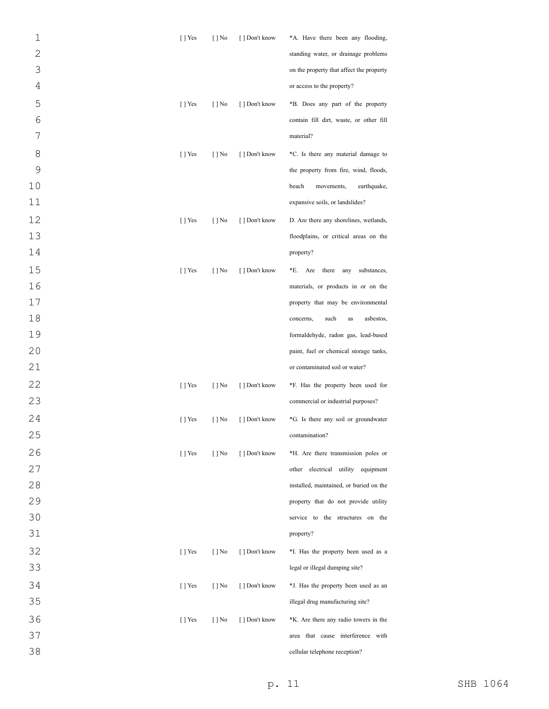| $\mathbf 1$    | $[$ T Yes                 | $\lceil \cdot \rceil$ No | [ ] Don't know | *A. Have there been any flooding,        |
|----------------|---------------------------|--------------------------|----------------|------------------------------------------|
| $\overline{2}$ |                           |                          |                | standing water, or drainage problems     |
| $\mathfrak{Z}$ |                           |                          |                | on the property that affect the property |
| 4              |                           |                          |                | or access to the property?               |
| 5              | $[ ]$ Yes                 | $[$ ] No                 | [ ] Don't know | *B. Does any part of the property        |
| 6              |                           |                          |                | contain fill dirt, waste, or other fill  |
| 7              |                           |                          |                | material?                                |
| 8              | $[ ]$ Yes                 | $[ ]$ No                 | [] Don't know  | *C. Is there any material damage to      |
| 9              |                           |                          |                | the property from fire, wind, floods,    |
| 10             |                           |                          |                | beach<br>movements,<br>earthquake,       |
| 11             |                           |                          |                | expansive soils, or landslides?          |
| 12             | $\lceil$   Yes            | $\lceil \cdot \rceil$ No | [ ] Don't know | D. Are there any shorelines, wetlands,   |
| 13             |                           |                          |                | floodplains, or critical areas on the    |
| 14             |                           |                          |                | property?                                |
| 15             | $\lceil$   Yes            | $\lceil \cdot \rceil$ No | [ ] Don't know | *E.<br>Are there any<br>substances,      |
| 16             |                           |                          |                | materials, or products in or on the      |
| 17             |                           |                          |                | property that may be environmental       |
| 18             |                           |                          |                | concerns,<br>such<br>asbestos,<br>as     |
| 19             |                           |                          |                | formaldehyde, radon gas, lead-based      |
| 20             |                           |                          |                | paint, fuel or chemical storage tanks,   |
| 21             |                           |                          |                | or contaminated soil or water?           |
| 22             | $[ ]$ Yes                 | $[ ]$ No                 | [ ] Don't know | *F. Has the property been used for       |
| 23             |                           |                          |                | commercial or industrial purposes?       |
| 24             | $[$ T Yes                 | $\lceil \cdot \rceil$ No | [] Don't know  | *G. Is there any soil or groundwater     |
| 25             |                           |                          |                | contamination?                           |
| 26             | $\lceil \cdot \rceil$ Yes | $\lceil \cdot \rceil$ No | [ ] Don't know | *H. Are there transmission poles or      |
| 27             |                           |                          |                | other electrical utility equipment       |
| 28             |                           |                          |                | installed, maintained, or buried on the  |
| 29             |                           |                          |                | property that do not provide utility     |
| 30             |                           |                          |                | service to the structures on the         |
| 31             |                           |                          |                | property?                                |
| 32             | $[ ]$ Yes                 | $\lceil \cdot \rceil$ No | [ ] Don't know | *I. Has the property been used as a      |
| 33             |                           |                          |                | legal or illegal dumping site?           |
| 34             | $\lceil \cdot \rceil$ Yes | $\lceil \cdot \rceil$ No | [] Don't know  | *J. Has the property been used as an     |
| 35             |                           |                          |                | illegal drug manufacturing site?         |
| 36             | $[$ T Yes                 | $\lceil \cdot \rceil$ No | [ ] Don't know | *K. Are there any radio towers in the    |
| 37             |                           |                          |                | area that cause interference with        |
| 38             |                           |                          |                | cellular telephone reception?            |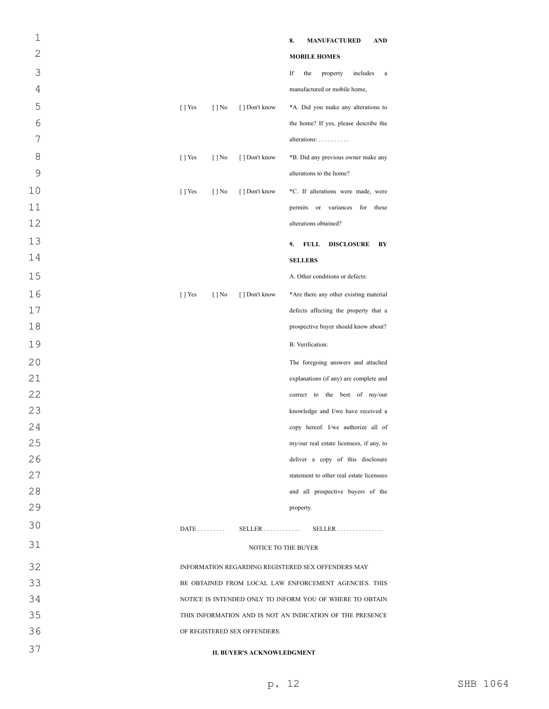| $\mathbf 1$    |                                 |                          |                                   | <b>MANUFACTURED</b><br>8.<br>AND                          |
|----------------|---------------------------------|--------------------------|-----------------------------------|-----------------------------------------------------------|
| $\overline{2}$ |                                 |                          |                                   | <b>MOBILE HOMES</b>                                       |
| 3              |                                 |                          |                                   | If<br>the<br>property<br>includes<br>$\rm{a}$             |
| 4              |                                 |                          |                                   | manufactured or mobile home,                              |
| 5              | $[$ T Yes                       | $\lceil \cdot \rceil$ No | [ ] Don't know                    | *A. Did you make any alterations to                       |
| 6              |                                 |                          |                                   | the home? If yes, please describe the                     |
| 7              |                                 |                          |                                   | alterations:                                              |
| 8              | [] Yes                          | $[$ ] No                 | [ ] Don't know                    | *B. Did any previous owner make any                       |
| 9              |                                 |                          |                                   | alterations to the home?                                  |
| 10             | $[$ T Yes                       | $\lceil \cdot \rceil$ No | [ ] Don't know                    | *C. If alterations were made, were                        |
| 11             |                                 |                          |                                   | permits or variances for these                            |
| 12             |                                 |                          |                                   | alterations obtained?                                     |
| 13             |                                 |                          |                                   | 9.<br><b>FULL</b><br><b>DISCLOSURE</b><br>BY              |
| 14             |                                 |                          |                                   | <b>SELLERS</b>                                            |
| 15             |                                 |                          |                                   | A. Other conditions or defects:                           |
| 16             | $[$ T Yes                       | $\lceil \cdot \rceil$ No | [ ] Don't know                    | *Are there any other existing material                    |
| 17             |                                 |                          |                                   | defects affecting the property that a                     |
| 18             |                                 |                          |                                   | prospective buyer should know about?                      |
| 19             |                                 |                          |                                   | B. Verification:                                          |
| 20             |                                 |                          |                                   | The foregoing answers and attached                        |
| 21             |                                 |                          |                                   | explanations (if any) are complete and                    |
| 22             |                                 |                          |                                   | correct to the best of my/our                             |
| 23             |                                 |                          |                                   | knowledge and I/we have received a                        |
| 24             |                                 |                          |                                   | copy hereof. I/we authorize all of                        |
| 25             |                                 |                          |                                   | my/our real estate licensees, if any, to                  |
| 26             |                                 |                          |                                   | deliver a copy of this disclosure                         |
| 27             |                                 |                          |                                   | statement to other real estate licensees                  |
| 28             |                                 |                          |                                   | and all prospective buyers of the                         |
| 29             |                                 |                          |                                   | property.                                                 |
| 30             | $\text{DATE} \dots \dots \dots$ |                          |                                   | SELLER  SELLER                                            |
| 31             |                                 |                          | NOTICE TO THE BUYER               |                                                           |
| 32             |                                 |                          |                                   | INFORMATION REGARDING REGISTERED SEX OFFENDERS MAY        |
| 33             |                                 |                          |                                   | BE OBTAINED FROM LOCAL LAW ENFORCEMENT AGENCIES. THIS     |
| 34             |                                 |                          |                                   | NOTICE IS INTENDED ONLY TO INFORM YOU OF WHERE TO OBTAIN  |
| 35             |                                 |                          |                                   | THIS INFORMATION AND IS NOT AN INDICATION OF THE PRESENCE |
| 36             |                                 |                          | OF REGISTERED SEX OFFENDERS.      |                                                           |
| 37             |                                 |                          | <b>II. BUYER'S ACKNOWLEDGMENT</b> |                                                           |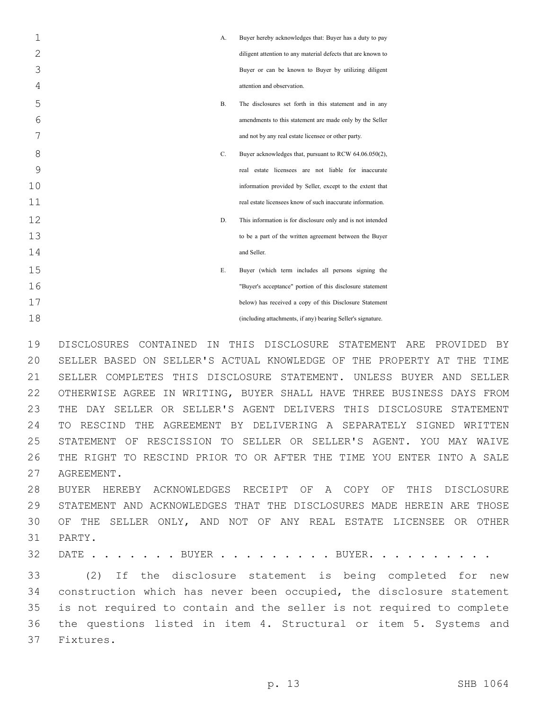| 1  | A.          | Buyer hereby acknowledges that: Buyer has a duty to pay      |
|----|-------------|--------------------------------------------------------------|
| 2  |             | diligent attention to any material defects that are known to |
| 3  |             | Buyer or can be known to Buyer by utilizing diligent         |
| 4  |             | attention and observation.                                   |
| 5  | <b>B.</b>   | The disclosures set forth in this statement and in any       |
| 6  |             | amendments to this statement are made only by the Seller     |
| 7  |             | and not by any real estate licensee or other party.          |
| 8  | $C_{\cdot}$ | Buyer acknowledges that, pursuant to RCW 64.06.050(2),       |
| 9  |             | real estate licensees are not liable for inaccurate          |
| 10 |             | information provided by Seller, except to the extent that    |
| 11 |             | real estate licensees know of such inaccurate information.   |
| 12 | D.          | This information is for disclosure only and is not intended  |
| 13 |             | to be a part of the written agreement between the Buyer      |
| 14 |             | and Seller.                                                  |
| 15 | Ε.          | Buyer (which term includes all persons signing the           |
| 16 |             | "Buyer's acceptance" portion of this disclosure statement    |
| 17 |             | below) has received a copy of this Disclosure Statement      |
| 18 |             | (including attachments, if any) bearing Seller's signature.  |

 DISCLOSURES CONTAINED IN THIS DISCLOSURE STATEMENT ARE PROVIDED BY SELLER BASED ON SELLER'S ACTUAL KNOWLEDGE OF THE PROPERTY AT THE TIME SELLER COMPLETES THIS DISCLOSURE STATEMENT. UNLESS BUYER AND SELLER OTHERWISE AGREE IN WRITING, BUYER SHALL HAVE THREE BUSINESS DAYS FROM THE DAY SELLER OR SELLER'S AGENT DELIVERS THIS DISCLOSURE STATEMENT TO RESCIND THE AGREEMENT BY DELIVERING A SEPARATELY SIGNED WRITTEN STATEMENT OF RESCISSION TO SELLER OR SELLER'S AGENT. YOU MAY WAIVE THE RIGHT TO RESCIND PRIOR TO OR AFTER THE TIME YOU ENTER INTO A SALE 27 AGREEMENT.

 BUYER HEREBY ACKNOWLEDGES RECEIPT OF A COPY OF THIS DISCLOSURE STATEMENT AND ACKNOWLEDGES THAT THE DISCLOSURES MADE HEREIN ARE THOSE OF THE SELLER ONLY, AND NOT OF ANY REAL ESTATE LICENSEE OR OTHER 31 PARTY.

32 DATE . . . . . . BUYER . . . . . . . . BUYER. . . .

 (2) If the disclosure statement is being completed for new construction which has never been occupied, the disclosure statement is not required to contain and the seller is not required to complete the questions listed in item 4. Structural or item 5. Systems and 37 Fixtures.